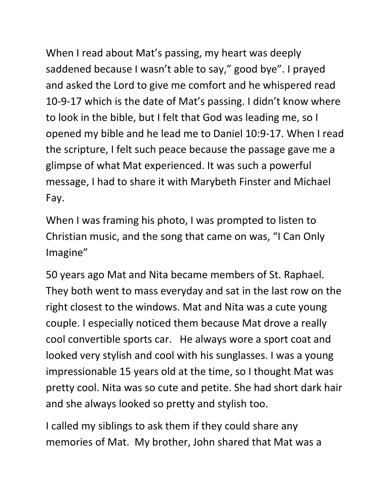When I read about Mat's passing, my heart was deeply saddened because I wasn't able to say," good bye". I prayed and asked the Lord to give me comfort and he whispered read 10-9-17 which is the date of Mat's passing. I didn't know where to look in the bible, but I felt that God was leading me, so I opened my bible and he lead me to Daniel 10:9-17. When I read the scripture, I felt such peace because the passage gave me a glimpse of what Mat experienced. It was such a powerful message, I had to share it with Marybeth Finster and Michael Fay.

When I was framing his photo, I was prompted to listen to Christian music, and the song that came on was, "I Can Only Imagine"

50 years ago Mat and Nita became members of St. Raphael. They both went to mass everyday and sat in the last row on the right closest to the windows. Mat and Nita was a cute young couple. I especially noticed them because Mat drove a really cool convertible sports car. He always wore a sport coat and looked very stylish and cool with his sunglasses. I was a young impressionable 15 years old at the time, so I thought Mat was pretty cool. Nita was so cute and petite. She had short dark hair and she always looked so pretty and stylish too.

I called my siblings to ask them if they could share any memories of Mat. My brother, John shared that Mat was a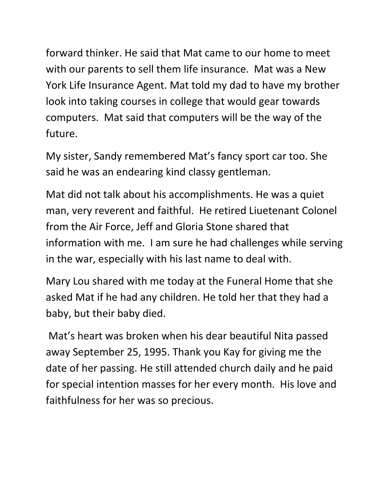forward thinker. He said that Mat came to our home to meet with our parents to sell them life insurance. Mat was a New York Life Insurance Agent. Mat told my dad to have my brother look into taking courses in college that would gear towards computers. Mat said that computers will be the way of the future.

My sister, Sandy remembered Mat's fancy sport car too. She said he was an endearing kind classy gentleman.

Mat did not talk about his accomplishments. He was a quiet man, very reverent and faithful. He retired Liuetenant Colonel from the Air Force, Jeff and Gloria Stone shared that information with me. I am sure he had challenges while serving in the war, especially with his last name to deal with.

Mary Lou shared with me today at the Funeral Home that she asked Mat if he had any children. He told her that they had a baby, but their baby died.

Mat's heart was broken when his dear beautiful Nita passed away September 25, 1995. Thank you Kay for giving me the date of her passing. He still attended church daily and he paid for special intention masses for her every month. His love and faithfulness for her was so precious.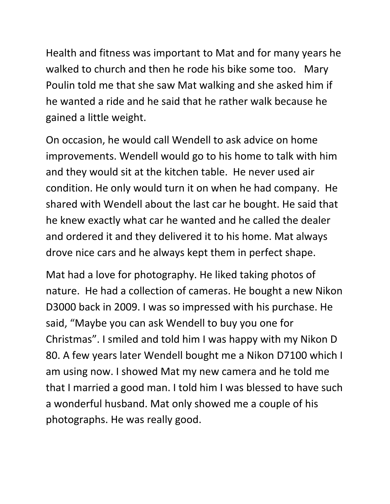Health and fitness was important to Mat and for many years he walked to church and then he rode his bike some too. Mary Poulin told me that she saw Mat walking and she asked him if he wanted a ride and he said that he rather walk because he gained a little weight.

On occasion, he would call Wendell to ask advice on home improvements. Wendell would go to his home to talk with him and they would sit at the kitchen table. He never used air condition. He only would turn it on when he had company. He shared with Wendell about the last car he bought. He said that he knew exactly what car he wanted and he called the dealer and ordered it and they delivered it to his home. Mat always drove nice cars and he always kept them in perfect shape.

Mat had a love for photography. He liked taking photos of nature. He had a collection of cameras. He bought a new Nikon D3000 back in 2009. I was so impressed with his purchase. He said, "Maybe you can ask Wendell to buy you one for Christmas". I smiled and told him I was happy with my Nikon D 80. A few years later Wendell bought me a Nikon D7100 which I am using now. I showed Mat my new camera and he told me that I married a good man. I told him I was blessed to have such a wonderful husband. Mat only showed me a couple of his photographs. He was really good.